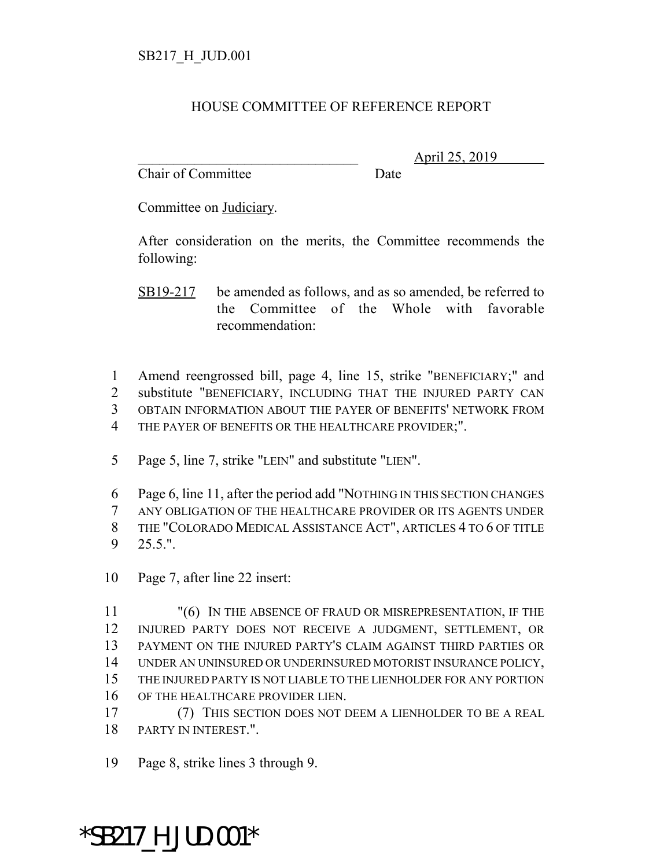## HOUSE COMMITTEE OF REFERENCE REPORT

Chair of Committee Date

\_\_\_\_\_\_\_\_\_\_\_\_\_\_\_\_\_\_\_\_\_\_\_\_\_\_\_\_\_\_\_ April 25, 2019

Committee on Judiciary.

After consideration on the merits, the Committee recommends the following:

SB19-217 be amended as follows, and as so amended, be referred to the Committee of the Whole with favorable recommendation:

 Amend reengrossed bill, page 4, line 15, strike "BENEFICIARY;" and substitute "BENEFICIARY, INCLUDING THAT THE INJURED PARTY CAN OBTAIN INFORMATION ABOUT THE PAYER OF BENEFITS' NETWORK FROM THE PAYER OF BENEFITS OR THE HEALTHCARE PROVIDER;".

Page 5, line 7, strike "LEIN" and substitute "LIEN".

 Page 6, line 11, after the period add "NOTHING IN THIS SECTION CHANGES ANY OBLIGATION OF THE HEALTHCARE PROVIDER OR ITS AGENTS UNDER THE "COLORADO MEDICAL ASSISTANCE ACT", ARTICLES 4 TO 6 OF TITLE 25.5.".

Page 7, after line 22 insert:

 "(6) IN THE ABSENCE OF FRAUD OR MISREPRESENTATION, IF THE INJURED PARTY DOES NOT RECEIVE A JUDGMENT, SETTLEMENT, OR PAYMENT ON THE INJURED PARTY'S CLAIM AGAINST THIRD PARTIES OR UNDER AN UNINSURED OR UNDERINSURED MOTORIST INSURANCE POLICY, THE INJURED PARTY IS NOT LIABLE TO THE LIENHOLDER FOR ANY PORTION OF THE HEALTHCARE PROVIDER LIEN.

 (7) THIS SECTION DOES NOT DEEM A LIENHOLDER TO BE A REAL PARTY IN INTEREST.".

Page 8, strike lines 3 through 9.

\*SB217\_H\_JUD.001\*